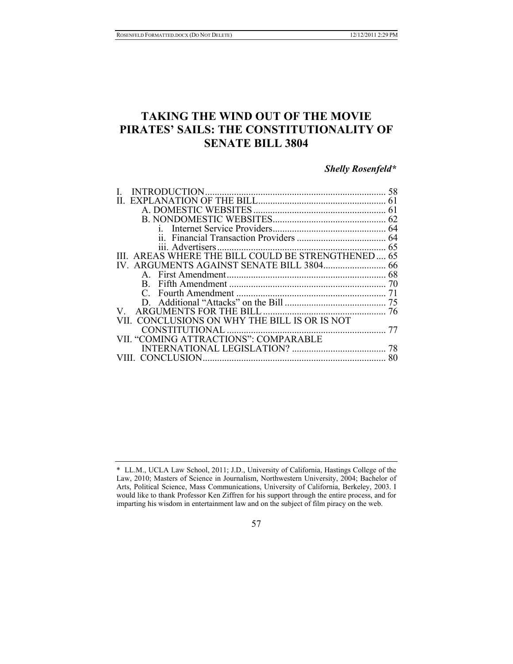# **TAKING THE WIND OUT OF THE MOVIE PIRATES' SAILS: THE CONSTITUTIONALITY OF SENATE BILL 3804**

## *Shelly Rosenfeld\**

|                                               | 61 |
|-----------------------------------------------|----|
|                                               | 62 |
|                                               |    |
|                                               |    |
|                                               | 65 |
| AREAS WHERE THE BILL COULD BE STRENGTHENED 65 |    |
|                                               |    |
|                                               |    |
|                                               | 70 |
|                                               | 71 |
|                                               |    |
|                                               |    |
| II. CONCLUSIONS ON WHY THE BILL IS OR IS NOT  |    |
| CONSTITUTIONAL                                | 77 |
| VII. "COMING ATTRACTIONS": COMPARABLE         |    |
|                                               | 78 |
|                                               |    |
|                                               |    |

#### 57

<sup>\*</sup> LL.M., UCLA Law School, 2011; J.D., University of California, Hastings College of the Law, 2010; Masters of Science in Journalism, Northwestern University, 2004; Bachelor of Arts, Political Science, Mass Communications, University of California, Berkeley, 2003. I would like to thank Professor Ken Ziffren for his support through the entire process, and for imparting his wisdom in entertainment law and on the subject of film piracy on the web.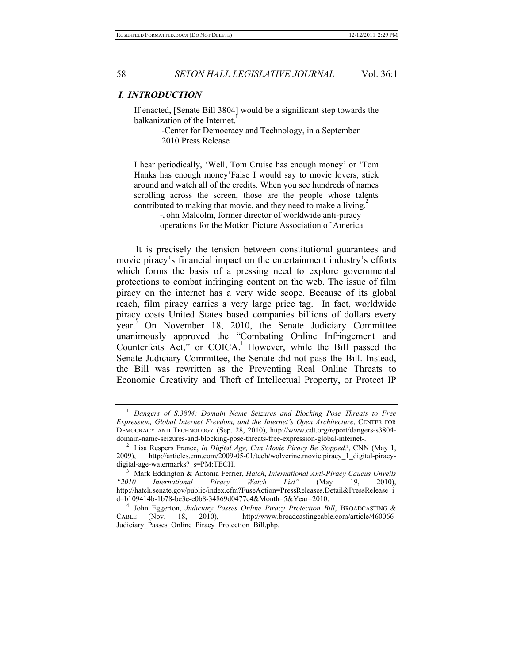#### *I. INTRODUCTION*

If enacted, [Senate Bill 3804] would be a significant step towards the balkanization of the Internet.

> -Center for Democracy and Technology, in a September 2010 Press Release

I hear periodically, 'Well, Tom Cruise has enough money' or 'Tom Hanks has enough money'False I would say to movie lovers, stick around and watch all of the credits. When you see hundreds of names scrolling across the screen, those are the people whose talents contributed to making that movie, and they need to make a living.<sup>2</sup>

> -John Malcolm, former director of worldwide anti-piracy operations for the Motion Picture Association of America

It is precisely the tension between constitutional guarantees and movie piracy's financial impact on the entertainment industry's efforts which forms the basis of a pressing need to explore governmental protections to combat infringing content on the web. The issue of film piracy on the internet has a very wide scope. Because of its global reach, film piracy carries a very large price tag. In fact, worldwide piracy costs United States based companies billions of dollars every year.<sup>3</sup> On November 18, 2010, the Senate Judiciary Committee unanimously approved the "Combating Online Infringement and Counterfeits Act," or  $COLCA<sup>4</sup>$  However, while the Bill passed the Senate Judiciary Committee, the Senate did not pass the Bill. Instead, the Bill was rewritten as the Preventing Real Online Threats to Economic Creativity and Theft of Intellectual Property, or Protect IP

<sup>1</sup> *Dangers of S.3804: Domain Name Seizures and Blocking Pose Threats to Free Expression, Global Internet Freedom, and the Internet's Open Architecture*, CENTER FOR DEMOCRACY AND TECHNOLOGY (Sep. 28, 2010), http://www.cdt.org/report/dangers-s3804-<br>domain-name-seizures-and-blocking-pose-threats-free-expression-global-internet-.

<sup>&</sup>lt;sup>2</sup> Lisa Respers-France, *In Digital Age, Can Movie Piracy Be Stopped?*, CNN (May 1, 2009). http://articles.cnn.com/2009-05-01/tech/wolverine.movie.piracy 1 digital-piracyhttp://articles.cnn.com/2009-05-01/tech/wolverine.movie.piracy\_1\_digital-piracydigital-age-watermarks?\_s=PM:TECH. 3 Mark Eddington & Antonia Ferrier, *Hatch*, *International Anti-Piracy Caucus Unveils* 

*<sup>&</sup>quot;2010 International Piracy Watch List"* (May 19, 2010), http://hatch.senate.gov/public/index.cfm?FuseAction=PressReleases.Detail&PressRelease\_i<br>d=b109414b-1b78-be3e-e0b8-34869d0477c4&Month=5&Year=2010.

<sup>&</sup>lt;sup>4</sup> John Eggerton, *Judiciary Passes Online Piracy Protection Bill*, BROADCASTING &<br>BLE (Nov. 18. 2010). http://www.broadcastingcable.com/article/460066-CABLE (Nov. 18, 2010), http://www.broadcastingcable.com/article/460066- Judiciary\_Passes\_Online\_Piracy\_Protection\_Bill.php.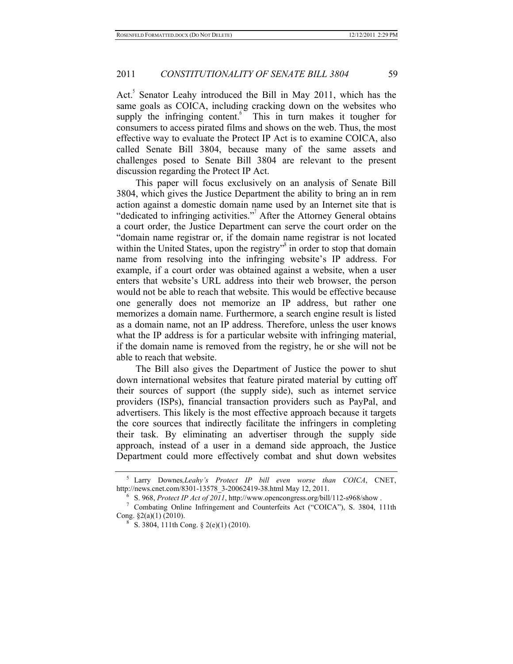Act.<sup>5</sup> Senator Leahy introduced the Bill in May 2011, which has the same goals as COICA, including cracking down on the websites who supply the infringing content. This in turn makes it tougher for consumers to access pirated films and shows on the web. Thus, the most effective way to evaluate the Protect IP Act is to examine COICA, also called Senate Bill 3804, because many of the same assets and challenges posed to Senate Bill 3804 are relevant to the present discussion regarding the Protect IP Act.

This paper will focus exclusively on an analysis of Senate Bill 3804, which gives the Justice Department the ability to bring an in rem action against a domestic domain name used by an Internet site that is "dedicated to infringing activities."<sup>7</sup> After the Attorney General obtains a court order, the Justice Department can serve the court order on the "domain name registrar or, if the domain name registrar is not located within the United States, upon the registry<sup>38</sup> in order to stop that domain name from resolving into the infringing website's IP address. For example, if a court order was obtained against a website, when a user enters that website's URL address into their web browser, the person would not be able to reach that website. This would be effective because one generally does not memorize an IP address, but rather one memorizes a domain name. Furthermore, a search engine result is listed as a domain name, not an IP address. Therefore, unless the user knows what the IP address is for a particular website with infringing material, if the domain name is removed from the registry, he or she will not be able to reach that website.

The Bill also gives the Department of Justice the power to shut down international websites that feature pirated material by cutting off their sources of support (the supply side), such as internet service providers (ISPs), financial transaction providers such as PayPal, and advertisers. This likely is the most effective approach because it targets the core sources that indirectly facilitate the infringers in completing their task. By eliminating an advertiser through the supply side approach, instead of a user in a demand side approach, the Justice Department could more effectively combat and shut down websites

<sup>&</sup>lt;sup>5</sup> Larry Downes, *Leahy's Protect IP bill even worse than COICA*, CNET, http://news.cnet.com/8301-13578 3-20062419-38.html May 12, 2011.

<sup>&</sup>lt;sup>6</sup> S. 968, *Protect IP Act of 2011*, http://www.opencongress.org/bill/112-s968/show.<br><sup>7</sup> Combating Online Infringement and Counterfeits Act ("COICA"), S. 3804, 111th

Cong. §2(a)(1) (2010).<br><sup>8</sup> S. 3804, 111th Cong. § 2(e)(1) (2010).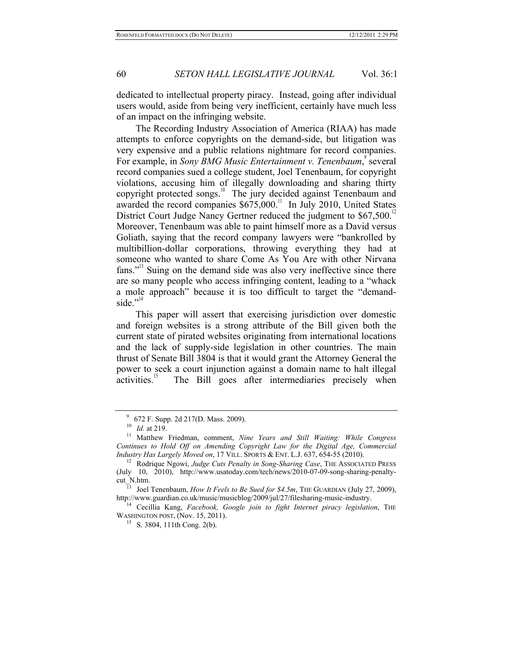dedicated to intellectual property piracy. Instead, going after individual users would, aside from being very inefficient, certainly have much less of an impact on the infringing website.

The Recording Industry Association of America (RIAA) has made attempts to enforce copyrights on the demand-side, but litigation was very expensive and a public relations nightmare for record companies. For example, in *Sony BMG Music Entertainment v. Tenenbaum*, several record companies sued a college student, Joel Tenenbaum, for copyright violations, accusing him of illegally downloading and sharing thirty copyright protected songs.<sup>10</sup> The jury decided against Tenenbaum and awarded the record companies  $$675,000$ .<sup>11</sup> In July 2010, United States District Court Judge Nancy Gertner reduced the judgment to \$67,500.<sup>12</sup> Moreover, Tenenbaum was able to paint himself more as a David versus Goliath, saying that the record company lawyers were "bankrolled by multibillion-dollar corporations, throwing everything they had at someone who wanted to share Come As You Are with other Nirvana fans."<sup>13</sup> Suing on the demand side was also very ineffective since there are so many people who access infringing content, leading to a "whack a mole approach" because it is too difficult to target the "demandside." $14$ 

This paper will assert that exercising jurisdiction over domestic and foreign websites is a strong attribute of the Bill given both the current state of pirated websites originating from international locations and the lack of supply-side legislation in other countries. The main thrust of Senate Bill 3804 is that it would grant the Attorney General the power to seek a court injunction against a domain name to halt illegal activities.<sup>15</sup> The Bill goes after intermediaries precisely when

<sup>9</sup> 672 F. Supp. 2d 217(D. Mass. 2009). 10 *Id.* at 219. 11 Matthew Friedman, comment, *Nine Years and Still Waiting: While Congress Continues to Hold Off on Amending Copyright Law for the Digital Age, Commercial Industry Has Largely Moved on*, 17 VILL. SPORTS & ENT. L.J. 637, 654-55 (2010).<br><sup>12</sup> Rodrique Ngowi, *Judge Cuts Penalty in Song-Sharing Case*, THE ASSOCIATED PRESS

<sup>(</sup>July 10, 2010), http://www.usatoday.com/tech/news/2010-07-09-song-sharing-penalty-

cut\_N.htm.<br><sup>13</sup> Joel Tenenbaum, *How It Feels to Be Sued for \$4.5m*, THE GUARDIAN (July 27, 2009),<br>http://www.guardian.co.uk/music/musicblog/2009/jul/27/filesharing-music-industry.

<sup>&</sup>lt;sup>14</sup> Cecillia Kang, Facebook, Google join to fight Internet piracy legislation, THE WASHINGTON POST, (Nov. 15, 2011).<br><sup>15</sup> S. 3804, 111th Cong. 2(b).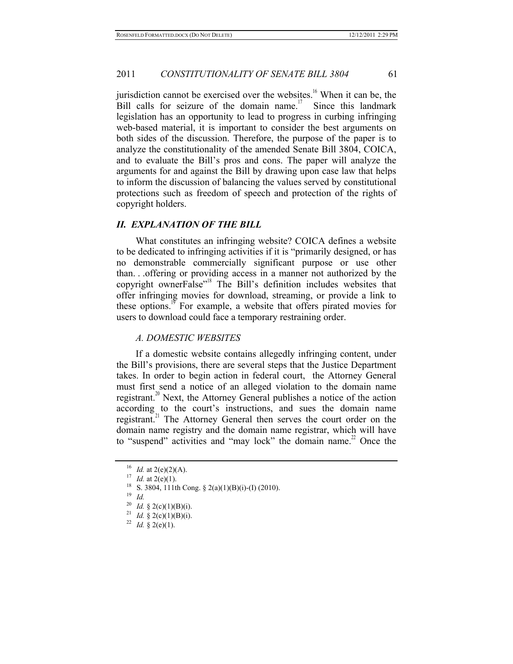jurisdiction cannot be exercised over the websites.<sup>16</sup> When it can be, the Bill calls for seizure of the domain name.<sup>17</sup> Since this landmark legislation has an opportunity to lead to progress in curbing infringing web-based material, it is important to consider the best arguments on both sides of the discussion. Therefore, the purpose of the paper is to analyze the constitutionality of the amended Senate Bill 3804, COICA, and to evaluate the Bill's pros and cons. The paper will analyze the arguments for and against the Bill by drawing upon case law that helps to inform the discussion of balancing the values served by constitutional protections such as freedom of speech and protection of the rights of copyright holders.

#### *II. EXPLANATION OF THE BILL*

What constitutes an infringing website? COICA defines a website to be dedicated to infringing activities if it is "primarily designed, or has no demonstrable commercially significant purpose or use other than. . .offering or providing access in a manner not authorized by the copyright ownerFalse<sup>"18</sup> The Bill's definition includes websites that offer infringing movies for download, streaming, or provide a link to these options.<sup>19</sup> For example, a website that offers pirated movies for users to download could face a temporary restraining order.

#### *A. DOMESTIC WEBSITES*

If a domestic website contains allegedly infringing content, under the Bill's provisions, there are several steps that the Justice Department takes. In order to begin action in federal court, the Attorney General must first send a notice of an alleged violation to the domain name registrant.<sup>20</sup> Next, the Attorney General publishes a notice of the action according to the court's instructions, and sues the domain name registrant.<sup>21</sup> The Attorney General then serves the court order on the domain name registry and the domain name registrar, which will have to "suspend" activities and "may lock" the domain name.<sup>22</sup> Once the

<sup>&</sup>lt;sup>16</sup> *Id.* at 2(e)(2)(A).<br><sup>17</sup> *Id.* at 2(e)(1).<br><sup>18</sup> S. 3804, 111th Cong. § 2(a)(1)(B)(i)-(I) (2010).<br><sup>19</sup> *Id.*<br><sup>20</sup> *Id.* § 2(c)(1)(B)(i).

<sup>20</sup> *Id.* § 2(c)(1)(B)(i). 21 *Id.* § 2(c)(1)(B)(i). 22 *Id.* § 2(e)(1).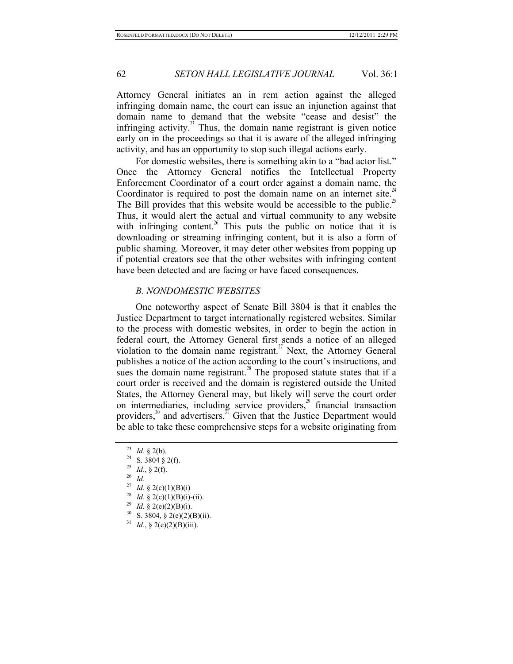Attorney General initiates an in rem action against the alleged infringing domain name, the court can issue an injunction against that domain name to demand that the website "cease and desist" the infringing activity. $^{23}$  Thus, the domain name registrant is given notice early on in the proceedings so that it is aware of the alleged infringing activity, and has an opportunity to stop such illegal actions early.

For domestic websites, there is something akin to a "bad actor list." Once the Attorney General notifies the Intellectual Property Enforcement Coordinator of a court order against a domain name, the Coordinator is required to post the domain name on an internet site. $A^2$ The Bill provides that this website would be accessible to the public.<sup>25</sup> Thus, it would alert the actual and virtual community to any website with infringing content.<sup>26</sup> This puts the public on notice that it is downloading or streaming infringing content, but it is also a form of public shaming. Moreover, it may deter other websites from popping up if potential creators see that the other websites with infringing content have been detected and are facing or have faced consequences.

### *B. NONDOMESTIC WEBSITES*

One noteworthy aspect of Senate Bill 3804 is that it enables the Justice Department to target internationally registered websites. Similar to the process with domestic websites, in order to begin the action in federal court, the Attorney General first sends a notice of an alleged violation to the domain name registrant.<sup>27</sup> Next, the Attorney General publishes a notice of the action according to the court's instructions, and sues the domain name registrant.<sup>28</sup> The proposed statute states that if a court order is received and the domain is registered outside the United States, the Attorney General may, but likely will serve the court order on intermediaries, including service providers, $^{29}$  financial transaction providers, $30$  and advertisers.  $31$  Given that the Justice Department would be able to take these comprehensive steps for a website originating from

- 
- <sup>27</sup> *Id.* § 2(c)(1)(B)(i)<br><sup>28</sup> *Id.* § 2(c)(1)(B)(i)-(ii).<br><sup>29</sup> *Id.* § 2(e)(2)(B)(i).<br><sup>30</sup> S. 3804, § 2(e)(2)(B)(ii).<br><sup>31</sup> *Id.*, § 2(e)(2)(B)(iii).
- 

<sup>23</sup> *Id.* § 2(b).<br>
24 S. 3804 § 2(f).<br>
25 *Id.*, § 2(f).<br>
26 *Id.*<br>
27 *J<sub>d</sub>* s 2(a)(1)(D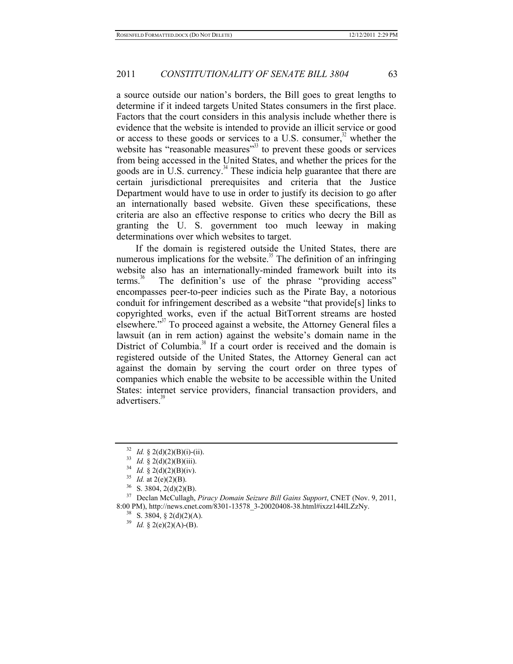a source outside our nation's borders, the Bill goes to great lengths to determine if it indeed targets United States consumers in the first place. Factors that the court considers in this analysis include whether there is evidence that the website is intended to provide an illicit service or good or access to these goods or services to a U.S. consumer, $32$  whether the website has "reasonable measures"<sup>33</sup> to prevent these goods or services from being accessed in the United States, and whether the prices for the goods are in U.S. currency.<sup>34</sup> These indicia help guarantee that there are certain jurisdictional prerequisites and criteria that the Justice Department would have to use in order to justify its decision to go after an internationally based website. Given these specifications, these criteria are also an effective response to critics who decry the Bill as granting the U. S. government too much leeway in making determinations over which websites to target.

If the domain is registered outside the United States, there are numerous implications for the website.<sup>35</sup> The definition of an infringing website also has an internationally-minded framework built into its terms.<sup>36</sup> The definition's use of the phrase "providing access" encompasses peer-to-peer indicies such as the Pirate Bay, a notorious conduit for infringement described as a website "that provide[s] links to copyrighted works, even if the actual BitTorrent streams are hosted elsewhere."37 To proceed against a website, the Attorney General files a lawsuit (an in rem action) against the website's domain name in the District of Columbia.<sup>38</sup> If a court order is received and the domain is registered outside of the United States, the Attorney General can act against the domain by serving the court order on three types of companies which enable the website to be accessible within the United States: internet service providers, financial transaction providers, and advertisers.<sup>39</sup>

<sup>&</sup>lt;sup>32</sup> *Id.* § 2(d)(2)(B)(i)-(ii).<br><sup>33</sup> *Id.* § 2(d)(2)(B)(iii).<br><sup>34</sup> *Id.* § 2(d)(2)(B)(iv).<br><sup>35</sup> *Id.* at 2(e)(2)(B).<br><sup>36</sup> S. 3804, 2(d)(2)(B).<br><sup>36</sup> S. 3804, 2(d)(2)(B).<br><sup>37</sup> Declan McCullagh, *Piracy Domain Seizure Bill* 8:00 PM), http://news.cnet.com/8301-13578\_3-20020408-38.html#ixzz144lLZzNy. 38 S. 3804, § 2(d)(2)(A). 39 *Id.* § 2(e)(2)(A)-(B).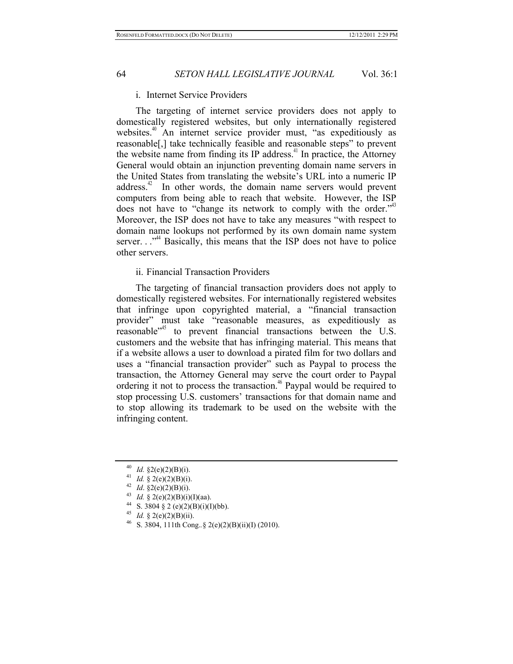#### i. Internet Service Providers

The targeting of internet service providers does not apply to domestically registered websites, but only internationally registered websites.<sup>40</sup> An internet service provider must, "as expeditiously as reasonable[,] take technically feasible and reasonable steps" to prevent the website name from finding its IP address.<sup>41</sup> In practice, the Attorney General would obtain an injunction preventing domain name servers in the United States from translating the website's URL into a numeric IP address. $42$  In other words, the domain name servers would prevent computers from being able to reach that website. However, the ISP does not have to "change its network to comply with the order."<sup>43</sup> Moreover, the ISP does not have to take any measures "with respect to domain name lookups not performed by its own domain name system server.  $\cdot$ <sup>, $^{34}$ </sup> Basically, this means that the ISP does not have to police other servers.

### ii. Financial Transaction Providers

The targeting of financial transaction providers does not apply to domestically registered websites. For internationally registered websites that infringe upon copyrighted material, a "financial transaction provider" must take "reasonable measures, as expeditiously as reasonable<sup>"45</sup> to prevent financial transactions between the U.S. customers and the website that has infringing material. This means that if a website allows a user to download a pirated film for two dollars and uses a "financial transaction provider" such as Paypal to process the transaction, the Attorney General may serve the court order to Paypal ordering it not to process the transaction.<sup> $46$ </sup> Paypal would be required to stop processing U.S. customers' transactions for that domain name and to stop allowing its trademark to be used on the website with the infringing content.

<sup>&</sup>lt;sup>40</sup> *Id.* § 2(e)(2)(B)(i).<br><sup>41</sup> *Id.* § 2(e)(2)(B)(i).<br><sup>42</sup> *Id.* § 2(e)(2)(B)(i).<br><sup>43</sup> *Id.* § 2(e)(2)(B)(i)(I)(aa).<br><sup>44</sup> S. 3804 § 2 (e)(2)(B)(i)(I)(bb).<br><sup>45</sup> *Id.* § 2(e)(2)(B)(ii).<br><sup>46</sup> S. 3804, 111th Cong..§ 2(e)(2)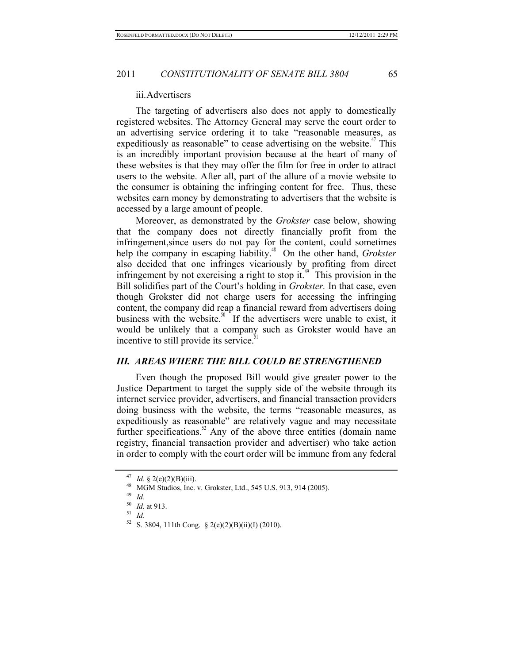#### iii.Advertisers

The targeting of advertisers also does not apply to domestically registered websites. The Attorney General may serve the court order to an advertising service ordering it to take "reasonable measures, as expeditiously as reasonable" to cease advertising on the website.<sup> $4$ </sup> This is an incredibly important provision because at the heart of many of these websites is that they may offer the film for free in order to attract users to the website. After all, part of the allure of a movie website to the consumer is obtaining the infringing content for free. Thus, these websites earn money by demonstrating to advertisers that the website is accessed by a large amount of people.

Moreover, as demonstrated by the *Grokster* case below, showing that the company does not directly financially profit from the infringement,since users do not pay for the content, could sometimes help the company in escaping liability.<sup>48</sup> On the other hand, *Grokster* also decided that one infringes vicariously by profiting from direct infringement by not exercising a right to stop it.<sup> $49$ </sup> This provision in the Bill solidifies part of the Court's holding in *Grokster.* In that case, even though Grokster did not charge users for accessing the infringing content, the company did reap a financial reward from advertisers doing business with the website.<sup>50</sup> If the advertisers were unable to exist, it would be unlikely that a company such as Grokster would have an incentive to still provide its service.<sup>5</sup>

#### *III. AREAS WHERE THE BILL COULD BE STRENGTHENED*

Even though the proposed Bill would give greater power to the Justice Department to target the supply side of the website through its internet service provider, advertisers, and financial transaction providers doing business with the website, the terms "reasonable measures, as expeditiously as reasonable" are relatively vague and may necessitate further specifications.<sup>52</sup> Any of the above three entities (domain name registry, financial transaction provider and advertiser) who take action in order to comply with the court order will be immune from any federal

<sup>47</sup> *Id.* § 2(e)(2)(B)(iii).<br><sup>48</sup> MGM Studios, Inc. v. Grokster, Ltd., 545 U.S. 913, 914 (2005).<br><sup>49</sup> *Id.*<br><sup>50</sup> *Id.* at 913.

<sup>&</sup>lt;sup>50</sup> *Id.* at 913.<br><sup>51</sup> *Id.*<br><sup>52</sup> S. 3804, 111th Cong. § 2(e)(2)(B)(ii)(I) (2010).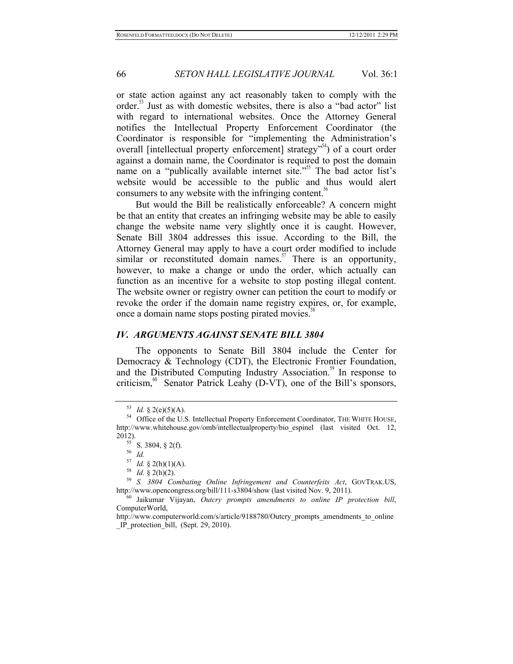or state action against any act reasonably taken to comply with the order.<sup>53</sup> Just as with domestic websites, there is also a "bad actor" list with regard to international websites. Once the Attorney General notifies the Intellectual Property Enforcement Coordinator (the Coordinator is responsible for "implementing the Administration's overall [intellectual property enforcement] strategy<sup>"54</sup>) of a court order against a domain name, the Coordinator is required to post the domain name on a "publically available internet site."<sup>55</sup> The bad actor list's website would be accessible to the public and thus would alert consumers to any website with the infringing content. $56$ 

But would the Bill be realistically enforceable? A concern might be that an entity that creates an infringing website may be able to easily change the website name very slightly once it is caught. However, Senate Bill 3804 addresses this issue. According to the Bill, the Attorney General may apply to have a court order modified to include similar or reconstituted domain names.<sup>57</sup> There is an opportunity, however, to make a change or undo the order, which actually can function as an incentive for a website to stop posting illegal content. The website owner or registry owner can petition the court to modify or revoke the order if the domain name registry expires, or, for example, once a domain name stops posting pirated movies.<sup>58</sup>

### *IV. ARGUMENTS AGAINST SENATE BILL 3804*

The opponents to Senate Bill 3804 include the Center for Democracy & Technology (CDT), the Electronic Frontier Foundation, and the Distributed Computing Industry Association.<sup>59</sup> In response to criticism,<sup>60</sup> Senator Patrick Leahy (D-VT), one of the Bill's sponsors,

ComputerWorld,

<sup>&</sup>lt;sup>53</sup> *Id.* § 2(e)(5)(A).  $^{54}$  Office of the U.S. Intellectual Property Enforcement Coordinator, THE WHITE HOUSE, http://www.whitehouse.gov/omb/intellectualproperty/bio\_espinel (last visited Oct. 12,

<sup>2012).&</sup>lt;br><sup>55</sup> S. 3804, § 2(f).<br><sup>56</sup> *Id.* <sup>57</sup> *Id.* § 2(h)(1)(A).<br><sup>58</sup> *Id.* § 2(h)(2).<br><sup>59</sup> *S. 3804 Combating Online Infringement and Counterfeits Act*, GOVTRAK.US, http://www.opencongress.org/bill/111-s3804/show (last visited Nov. 9, 2011). 60 Jaikumar Vijayan, *Outcry prompts amendments to online IP protection bill*,

http://www.computerworld.com/s/article/9188780/Outcry\_prompts\_amendments\_to\_online \_IP\_protection\_bill, (Sept. 29, 2010).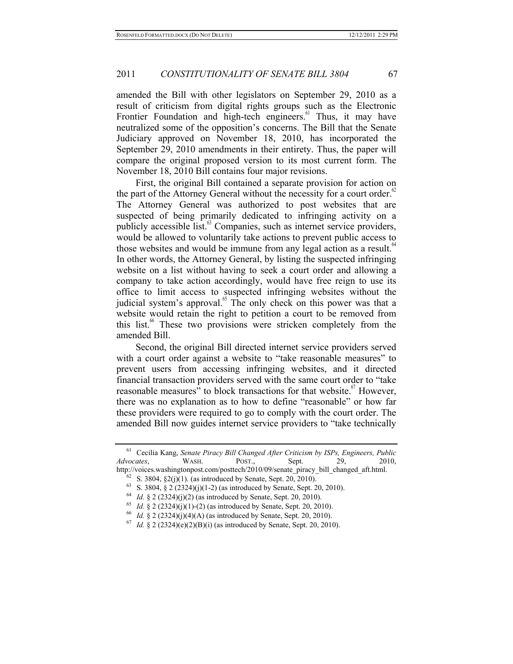amended the Bill with other legislators on September 29, 2010 as a result of criticism from digital rights groups such as the Electronic Frontier Foundation and high-tech engineers. $61$  Thus, it may have neutralized some of the opposition's concerns. The Bill that the Senate Judiciary approved on November 18, 2010, has incorporated the September 29, 2010 amendments in their entirety. Thus, the paper will compare the original proposed version to its most current form. The November 18, 2010 Bill contains four major revisions.

First, the original Bill contained a separate provision for action on the part of the Attorney General without the necessity for a court order.<sup>62</sup> The Attorney General was authorized to post websites that are suspected of being primarily dedicated to infringing activity on a publicly accessible list. $63$  Companies, such as internet service providers, would be allowed to voluntarily take actions to prevent public access to those websites and would be immune from any legal action as a result. $64$ In other words, the Attorney General, by listing the suspected infringing website on a list without having to seek a court order and allowing a company to take action accordingly, would have free reign to use its office to limit access to suspected infringing websites without the judicial system's approval.<sup>65</sup> The only check on this power was that a website would retain the right to petition a court to be removed from this list.<sup>66</sup> These two provisions were stricken completely from the amended Bill.

Second, the original Bill directed internet service providers served with a court order against a website to "take reasonable measures" to prevent users from accessing infringing websites, and it directed financial transaction providers served with the same court order to "take reasonable measures" to block transactions for that website.<sup>67</sup> However, there was no explanation as to how to define "reasonable" or how far these providers were required to go to comply with the court order. The amended Bill now guides internet service providers to "take technically

<sup>61</sup> Cecilia Kang, *Senate Piracy Bill Changed After Criticism by ISPs, Engineers, Public Advocates*, WASH. POST., Sept. 29, 2010, http://voices.washingtonpost.com/posttech/2010/09/senate\_piracy\_bill\_changed\_aft.html.<br>
<sup>62</sup> S. 3804, §2(j)(1). (as introduced by Senate, Sept. 20, 2010).<br>
<sup>63</sup> S. 3804, § 2 (2324)(j)(1-2) (as introduced by Senate, Sept.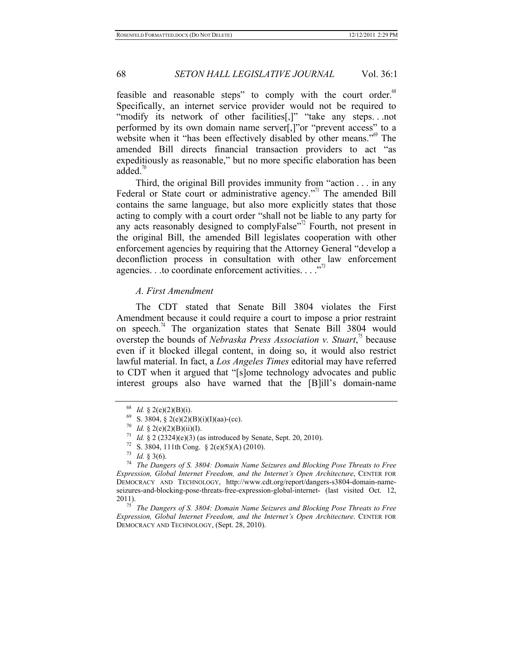feasible and reasonable steps" to comply with the court order.<sup>68</sup> Specifically, an internet service provider would not be required to "modify its network of other facilities[,]" "take any steps...not performed by its own domain name server[,]"or "prevent access" to a website when it "has been effectively disabled by other means."<sup>69</sup> The amended Bill directs financial transaction providers to act "as expeditiously as reasonable," but no more specific elaboration has been added.<sup>70</sup>

Third, the original Bill provides immunity from "action . . . in any Federal or State court or administrative agency."<sup>1</sup> The amended Bill contains the same language, but also more explicitly states that those acting to comply with a court order "shall not be liable to any party for any acts reasonably designed to complyFalse<sup> $n^2$ </sup> Fourth, not present in the original Bill, the amended Bill legislates cooperation with other enforcement agencies by requiring that the Attorney General "develop a deconfliction process in consultation with other law enforcement agencies. . .to coordinate enforcement activities. . . .<sup>73</sup>

### *A. First Amendment*

The CDT stated that Senate Bill 3804 violates the First Amendment because it could require a court to impose a prior restraint on speech.<sup>74</sup> The organization states that Senate Bill 3804 would overstep the bounds of *Nebraska Press Association v. Stuart*,<sup><sup>3</sup> because</sup> even if it blocked illegal content, in doing so, it would also restrict lawful material. In fact, a *Los Angeles Times* editorial may have referred to CDT when it argued that "[s]ome technology advocates and public interest groups also have warned that the [B]ill's domain-name

<sup>&</sup>lt;sup>68</sup> *Id.* § 2(e)(2)(B)(i).<br>
<sup>69</sup> S. 3804, § 2(e)(2)(B)(i)(I)(aa)-(cc).<br>
<sup>70</sup> *Id.* § 2(e)(2)(B)(ii)(I).<br>
<sup>71</sup> *Id.* § 2 (2324)(e)(3) (as introduced by Senate, Sept. 20, 2010).<br>
<sup>72</sup> S. 3804, 111th Cong. § 2(e)(5)(A) (201 *Expression, Global Internet Freedom, and the Internet's Open Architecture*, CENTER FOR DEMOCRACY AND TECHNOLOGY, http://www.cdt.org/report/dangers-s3804-domain-nameseizures-and-blocking-pose-threats-free-expression-global-internet- (last visited Oct. 12, 2011).

<sup>&</sup>lt;sup>75</sup> *The Dangers of S. 3804: Domain Name Seizures and Blocking Pose Threats to Free Expression, Global Internet Freedom, and the Internet's Open Architecture*. CENTER FOR DEMOCRACY AND TECHNOLOGY, (Sept. 28, 2010).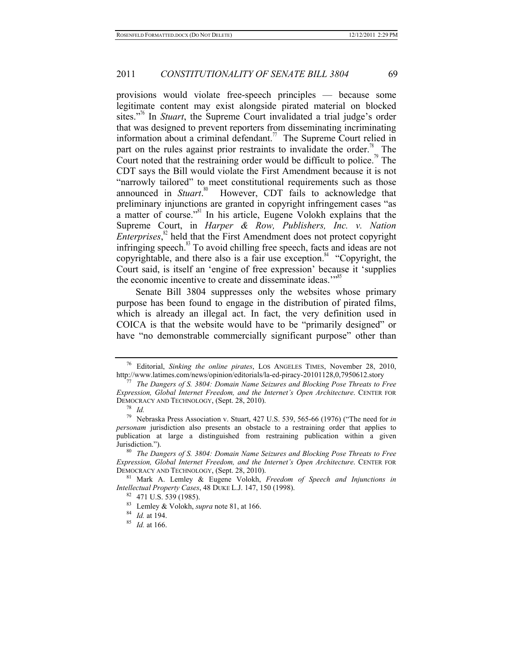provisions would violate free-speech principles — because some legitimate content may exist alongside pirated material on blocked sites."76 In *Stuart*, the Supreme Court invalidated a trial judge's order that was designed to prevent reporters from disseminating incriminating information about a criminal defendant.<sup>77</sup> The Supreme Court relied in part on the rules against prior restraints to invalidate the order.<sup>78</sup> The Court noted that the restraining order would be difficult to police.<sup>9</sup> The CDT says the Bill would violate the First Amendment because it is not "narrowly tailored" to meet constitutional requirements such as those announced in *Stuart*.<sup>80</sup> However, CDT fails to acknowledge that preliminary injunctions are granted in copyright infringement cases "as a matter of course."81 In his article, Eugene Volokh explains that the Supreme Court, in *Harper & Row, Publishers, Inc. v. Nation Enterprises*,<sup>82</sup> held that the First Amendment does not protect copyright infringing speech.<sup>83</sup> To avoid chilling free speech, facts and ideas are not copyrightable, and there also is a fair use exception. $84$  "Copyright, the Court said, is itself an 'engine of free expression' because it 'supplies the economic incentive to create and disseminate ideas."<sup>85</sup>

Senate Bill 3804 suppresses only the websites whose primary purpose has been found to engage in the distribution of pirated films, which is already an illegal act. In fact, the very definition used in COICA is that the website would have to be "primarily designed" or have "no demonstrable commercially significant purpose" other than

<sup>&</sup>lt;sup>76</sup> Editorial, *Sinking the online pirates*, LOS ANGELES TIMES, November 28, 2010, http://www.latimes.com/news/opinion/editorials/la-ed-piracy-20101128,0,7950612.story

<sup>&</sup>lt;sup>7</sup> The Dangers of S. 3804: Domain Name Seizures and Blocking Pose Threats to Free *Expression, Global Internet Freedom, and the Internet's Open Architecture*. CENTER FOR DEMOCRACY AND TECHNOLOGY, (Sept. 28, 2010). 78 *Id.*

<sup>79</sup> Nebraska Press Association v. Stuart, 427 U.S. 539, 565-66 (1976) ("The need for *in personam* jurisdiction also presents an obstacle to a restraining order that applies to publication at large a distinguished from restraining publication within a given Jurisdiction.").<br><sup>80</sup> *The Dangers of S. 3804: Domain Name Seizures and Blocking Pose Threats to Free* 

*Expression, Global Internet Freedom, and the Internet's Open Architecture*. CENTER FOR DEMOCRACY AND TECHNOLOGY, (Sept. 28, 2010). 81 Mark A. Lemley & Eugene Volokh, *Freedom of Speech and Injunctions in* 

*Intellectual Property Cases*, 48 DUKE L.J. 147, 150 (1998).<br><sup>82</sup> 471 U.S. 539 (1985).<br><sup>83</sup> Lemley & Volokh, *supra* note 81, at 166.<br><sup>84</sup> *Id.* at 194.<br><sup>85</sup> *Id.* at 166.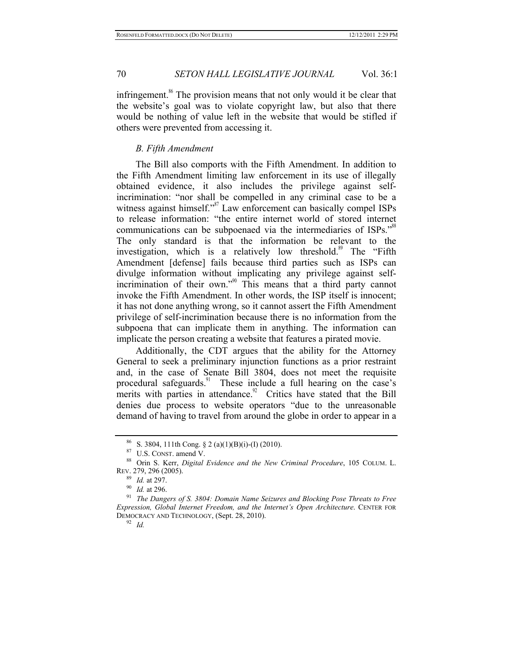infringement. $\frac{86}{10}$  The provision means that not only would it be clear that the website's goal was to violate copyright law, but also that there would be nothing of value left in the website that would be stifled if others were prevented from accessing it.

#### *B. Fifth Amendment*

The Bill also comports with the Fifth Amendment. In addition to the Fifth Amendment limiting law enforcement in its use of illegally obtained evidence, it also includes the privilege against selfincrimination: "nor shall be compelled in any criminal case to be a witness against himself."<sup>87</sup> Law enforcement can basically compel ISPs to release information: "the entire internet world of stored internet communications can be subpoenaed via the intermediaries of ISPs."<sup>88</sup> The only standard is that the information be relevant to the investigation, which is a relatively low threshold.<sup>89</sup> The "Fifth" Amendment [defense] fails because third parties such as ISPs can divulge information without implicating any privilege against selfincrimination of their own.<sup>"90</sup> This means that a third party cannot invoke the Fifth Amendment. In other words, the ISP itself is innocent; it has not done anything wrong, so it cannot assert the Fifth Amendment privilege of self-incrimination because there is no information from the subpoena that can implicate them in anything. The information can implicate the person creating a website that features a pirated movie.

Additionally, the CDT argues that the ability for the Attorney General to seek a preliminary injunction functions as a prior restraint and, in the case of Senate Bill 3804, does not meet the requisite procedural safeguards.<sup>91</sup> These include a full hearing on the case's merits with parties in attendance. $92$  Critics have stated that the Bill denies due process to website operators "due to the unreasonable demand of having to travel from around the globe in order to appear in a

<sup>86</sup> S. 3804, 111th Cong. § 2 (a)(1)(B)(i)-(I) (2010). 87 U.S. CONST. amend V. 88 Orin S. Kerr, *Digital Evidence and the New Criminal Procedure*, 105 COLUM. L. REV. 279, 296 (2005).<br><sup>89</sup> *Id.* at 297.

<sup>&</sup>lt;sup>90</sup> *Id.* at 296.<br><sup>91</sup> *The Dangers of S. 3804: Domain Name Seizures and Blocking Pose Threats to Free Expression, Global Internet Freedom, and the Internet's Open Architecture*. CENTER FOR DEMOCRACY AND TECHNOLOGY, (Sept. 28, 2010). 92 *Id.*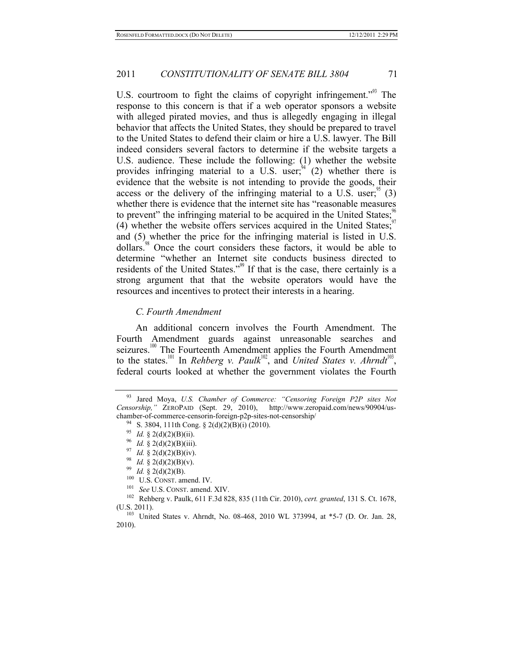U.S. courtroom to fight the claims of copyright infringement.<sup>"93</sup> The response to this concern is that if a web operator sponsors a website with alleged pirated movies, and thus is allegedly engaging in illegal behavior that affects the United States, they should be prepared to travel to the United States to defend their claim or hire a U.S. lawyer. The Bill indeed considers several factors to determine if the website targets a U.S. audience. These include the following: (1) whether the website provides infringing material to a U.S. user;  $(2)$  whether there is evidence that the website is not intending to provide the goods, their access or the delivery of the infringing material to a U.S. user; $\frac{3}{5}$  (3) whether there is evidence that the internet site has "reasonable measures to prevent" the infringing material to be acquired in the United States;<sup>5</sup> (4) whether the website offers services acquired in the United States; $\degree$ and (5) whether the price for the infringing material is listed in U.S. dollars.<sup>98</sup> Once the court considers these factors, it would be able to determine "whether an Internet site conducts business directed to residents of the United States."<sup>99</sup> If that is the case, there certainly is a strong argument that that the website operators would have the resources and incentives to protect their interests in a hearing.

#### *C. Fourth Amendment*

An additional concern involves the Fourth Amendment. The Fourth Amendment guards against unreasonable searches and seizures.<sup>100</sup> The Fourteenth Amendment applies the Fourth Amendment to the states.<sup>101</sup> In *Rehberg v. Paulk*<sup>102</sup>, and *United States v. Ahrndt*<sup>103</sup>, federal courts looked at whether the government violates the Fourth

<sup>93</sup> Jared Moya, *U.S. Chamber of Commerce: "Censoring Foreign P2P sites Not Censorship,"* ZEROPAID (Sept. 29, 2010), http://www.zeropaid.com/news/90904/uschamber-of-commerce-censorin-foreign-p2p-sites-not-censorship/<br>
<sup>94</sup> S. 3804, 111th Cong. § 2(d)(2)(B)(i) (2010).<br>
<sup>95</sup> Id. § 2(d)(2)(B)(ii).<br>
<sup>96</sup> Id. § 2(d)(2)(B)(iii).<br>
<sup>97</sup> Id. § 2(d)(2)(B)(iv).<br>
<sup>97</sup> Id. § 2(d)(2)(B)

<sup>(</sup>U.S. 2011).<br><sup>103</sup> United States v. Ahrndt, No. 08-468, 2010 WL 373994, at \*5-7 (D. Or. Jan. 28,

<sup>2010).</sup>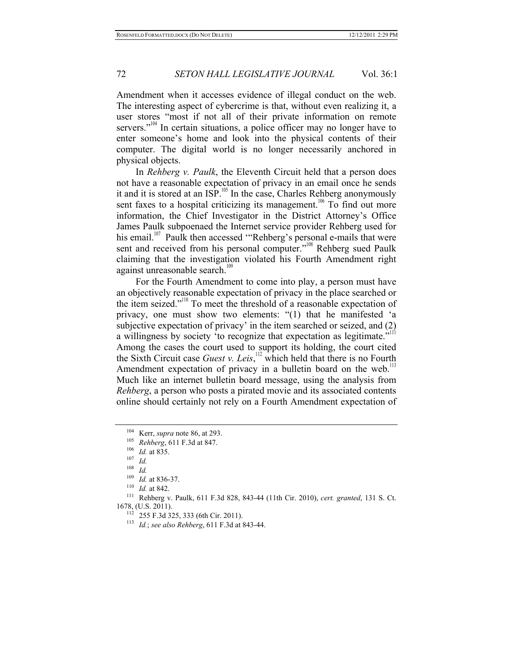Amendment when it accesses evidence of illegal conduct on the web. The interesting aspect of cybercrime is that, without even realizing it, a user stores "most if not all of their private information on remote servers."<sup>104</sup> In certain situations, a police officer may no longer have to enter someone's home and look into the physical contents of their computer. The digital world is no longer necessarily anchored in physical objects.

In *Rehberg v. Paulk*, the Eleventh Circuit held that a person does not have a reasonable expectation of privacy in an email once he sends it and it is stored at an  $ISP$ .<sup>105</sup> In the case, Charles Rehberg anonymously sent faxes to a hospital criticizing its management.<sup>106</sup> To find out more information, the Chief Investigator in the District Attorney's Office James Paulk subpoenaed the Internet service provider Rehberg used for his email.<sup>107</sup> Paulk then accessed "Rehberg's personal e-mails that were sent and received from his personal computer."<sup>108</sup> Rehberg sued Paulk claiming that the investigation violated his Fourth Amendment right against unreasonable search.<sup>109</sup>

For the Fourth Amendment to come into play, a person must have an objectively reasonable expectation of privacy in the place searched or the item seized."<sup>110</sup> To meet the threshold of a reasonable expectation of privacy, one must show two elements: "(1) that he manifested 'a subjective expectation of privacy' in the item searched or seized, and (2) a willingness by society 'to recognize that expectation as legitimate." Among the cases the court used to support its holding, the court cited the Sixth Circuit case *Guest v. Leis*, 112 which held that there is no Fourth Amendment expectation of privacy in a bulletin board on the web.<sup>113</sup> Much like an internet bulletin board message, using the analysis from *Rehberg*, a person who posts a pirated movie and its associated contents online should certainly not rely on a Fourth Amendment expectation of

<sup>104</sup> Kerr, *supra* note 86, at 293.<br>
105 *Rehberg*, 611 F.3d at 847.<br>
106 *Id.* at 835.<br>
107 *Id.* 

<sup>108</sup> *Id.*<br><sup>109</sup> *Id.* at 836-37.<br><sup>110</sup> *Id.* at 842.<br><sup>111</sup> Rehberg v. Paulk, 611 F.3d 828, 843-44 (11th Cir. 2010), *cert. granted*, 131 S. Ct.

<sup>1678, (</sup>U.S. 2011). 112 255 F.3d 325, 333 (6th Cir. 2011). 113 *Id.*; *see also Rehberg*, 611 F.3d at 843-44.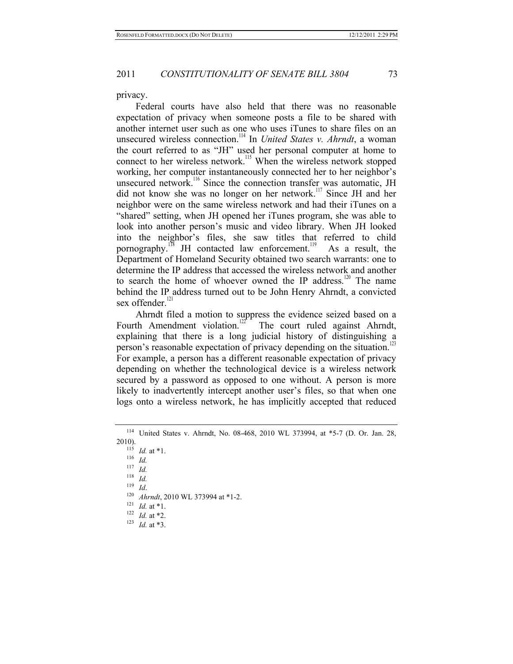privacy.

Federal courts have also held that there was no reasonable expectation of privacy when someone posts a file to be shared with another internet user such as one who uses iTunes to share files on an unsecured wireless connection.<sup>114</sup> In *United States v. Ahrndt*, a woman the court referred to as "JH" used her personal computer at home to connect to her wireless network.<sup>115</sup> When the wireless network stopped working, her computer instantaneously connected her to her neighbor's unsecured network.<sup>116</sup> Since the connection transfer was automatic, JH did not know she was no longer on her network.<sup>117</sup> Since JH and her neighbor were on the same wireless network and had their iTunes on a "shared" setting, when JH opened her iTunes program, she was able to look into another person's music and video library. When JH looked into the neighbor's files, she saw titles that referred to child pornography.<sup>118</sup> JH contacted law enforcement.<sup>119</sup> As a result, the Department of Homeland Security obtained two search warrants: one to determine the IP address that accessed the wireless network and another to search the home of whoever owned the IP address.<sup>120</sup> The name behind the IP address turned out to be John Henry Ahrndt, a convicted sex offender.<sup>121</sup>

Ahrndt filed a motion to suppress the evidence seized based on a Fourth Amendment violation.<sup>[127</sup>] The court ruled against Ahrndt, The court ruled against Ahrndt, explaining that there is a long judicial history of distinguishing a person's reasonable expectation of privacy depending on the situation.<sup>1</sup> For example, a person has a different reasonable expectation of privacy depending on whether the technological device is a wireless network secured by a password as opposed to one without. A person is more likely to inadvertently intercept another user's files, so that when one logs onto a wireless network, he has implicitly accepted that reduced

2010).<br><sup>115</sup> *Id.* at \*1.<br><sup>116</sup> *Id.*<br><sup>117</sup> *Id.*<br><sup>118</sup> *Id*  $\frac{118}{119}$  *Id.* 119 *Id.*<br>
<sup>120</sup> *Ahrndt*, 2010 WL 373994 at \*1-2.<br>
<sup>121</sup> *Id.* at \*1.<br>
<sup>122</sup> *Id.* at \*2.<br>
<sup>123</sup> *Id.* at \*3.

<sup>114</sup> United States v. Ahrndt, No. 08-468, 2010 WL 373994, at \*5-7 (D. Or. Jan. 28,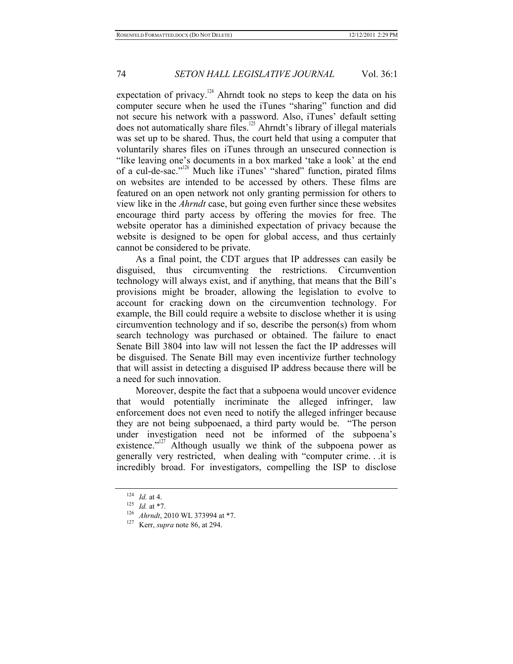expectation of privacy.<sup>124</sup> Ahrndt took no steps to keep the data on his computer secure when he used the iTunes "sharing" function and did not secure his network with a password. Also, iTunes' default setting does not automatically share files.<sup>125</sup> Ahrndt's library of illegal materials was set up to be shared. Thus, the court held that using a computer that voluntarily shares files on iTunes through an unsecured connection is "like leaving one's documents in a box marked 'take a look' at the end of a cul-de-sac."<sup>126</sup> Much like iTunes' "shared" function, pirated films on websites are intended to be accessed by others. These films are featured on an open network not only granting permission for others to view like in the *Ahrndt* case, but going even further since these websites encourage third party access by offering the movies for free. The website operator has a diminished expectation of privacy because the website is designed to be open for global access, and thus certainly cannot be considered to be private.

As a final point, the CDT argues that IP addresses can easily be disguised, thus circumventing the restrictions. Circumvention technology will always exist, and if anything, that means that the Bill's provisions might be broader, allowing the legislation to evolve to account for cracking down on the circumvention technology. For example, the Bill could require a website to disclose whether it is using circumvention technology and if so, describe the person(s) from whom search technology was purchased or obtained. The failure to enact Senate Bill 3804 into law will not lessen the fact the IP addresses will be disguised. The Senate Bill may even incentivize further technology that will assist in detecting a disguised IP address because there will be a need for such innovation.

Moreover, despite the fact that a subpoena would uncover evidence that would potentially incriminate the alleged infringer, law enforcement does not even need to notify the alleged infringer because they are not being subpoenaed, a third party would be. "The person under investigation need not be informed of the subpoena's existence." $127$  Although usually we think of the subpoena power as generally very restricted, when dealing with "computer crime. . .it is incredibly broad. For investigators, compelling the ISP to disclose

<sup>124</sup> *Id.* at 4.<br>
125 *Id.* at \*7.<br>
126 *Ahrndt*, 2010 WL 373994 at \*7.<br>
127 Kerr, *supra* note 86, at 294.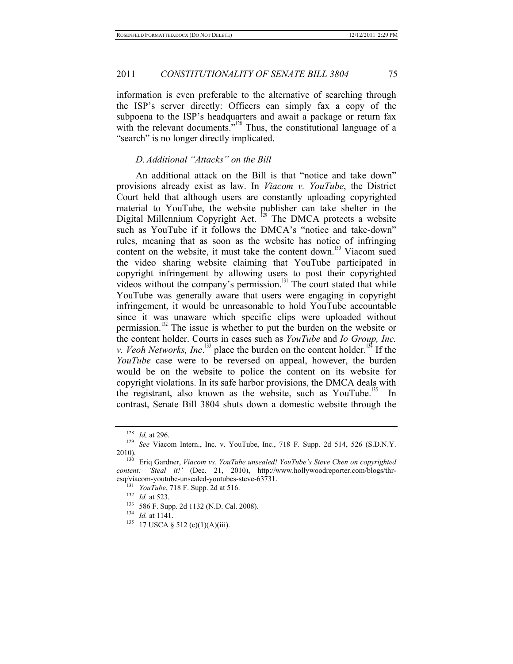information is even preferable to the alternative of searching through the ISP's server directly: Officers can simply fax a copy of the subpoena to the ISP's headquarters and await a package or return fax with the relevant documents."<sup>128</sup> Thus, the constitutional language of a "search" is no longer directly implicated.

### *D. Additional "Attacks" on the Bill*

An additional attack on the Bill is that "notice and take down" provisions already exist as law. In *Viacom v. YouTube*, the District Court held that although users are constantly uploading copyrighted material to YouTube, the website publisher can take shelter in the Digital Millennium Copyright Act.  $129$  The DMCA protects a website such as YouTube if it follows the DMCA's "notice and take-down" rules, meaning that as soon as the website has notice of infringing content on the website, it must take the content down.<sup>130</sup> Viacom sued the video sharing website claiming that YouTube participated in copyright infringement by allowing users to post their copyrighted videos without the company's permission.<sup>131</sup> The court stated that while YouTube was generally aware that users were engaging in copyright infringement, it would be unreasonable to hold YouTube accountable since it was unaware which specific clips were uploaded without permission.<sup>132</sup> The issue is whether to put the burden on the website or the content holder. Courts in cases such as *YouTube* and *Io Group, Inc. v. Veoh Networks, Inc.*<sup>133</sup> place the burden on the content holder.<sup>134</sup> If the *YouTube* case were to be reversed on appeal, however, the burden would be on the website to police the content on its website for copyright violations. In its safe harbor provisions, the DMCA deals with the registrant, also known as the website, such as YouTube.<sup>135</sup> In contrast, Senate Bill 3804 shuts down a domestic website through the

<sup>128</sup> *Id,* at 296. 129 *See* Viacom Intern., Inc. v. YouTube, Inc., 718 F. Supp. 2d 514, 526 (S.D.N.Y. 2010). 130 Eriq Gardner, *Viacom vs. YouTube unsealed! YouTube's Steve Chen on copyrighted* 

*content: 'Steal it!'* (Dec. 21, 2010), http://www.hollywoodreporter.com/blogs/thr-

<sup>&</sup>lt;sup>131</sup> *YouTube*, 718 F. Supp. 2d at 516.<br>
<sup>132</sup> *Id.* at 523.<br>
<sup>133</sup> 586 F. Supp. 2d 1132 (N.D. Cal. 2008).<br>
<sup>134</sup> *Id.* at 1141.<br>
<sup>135</sup> 17 USCA § 512 (c)(1)(A)(iii).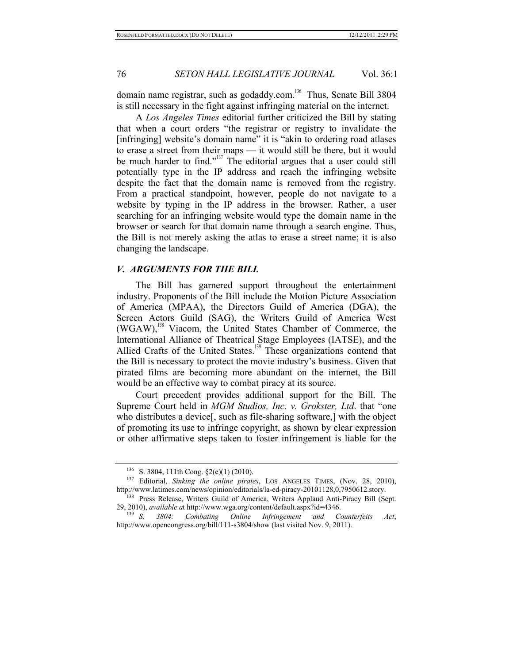domain name registrar, such as godaddy.com.<sup>136</sup> Thus, Senate Bill 3804 is still necessary in the fight against infringing material on the internet.

A *Los Angeles Times* editorial further criticized the Bill by stating that when a court orders "the registrar or registry to invalidate the [infringing] website's domain name" it is "akin to ordering road atlases to erase a street from their maps — it would still be there, but it would be much harder to find."<sup>137</sup> The editorial argues that a user could still potentially type in the IP address and reach the infringing website despite the fact that the domain name is removed from the registry. From a practical standpoint, however, people do not navigate to a website by typing in the IP address in the browser. Rather, a user searching for an infringing website would type the domain name in the browser or search for that domain name through a search engine. Thus, the Bill is not merely asking the atlas to erase a street name; it is also changing the landscape.

### *V. ARGUMENTS FOR THE BILL*

The Bill has garnered support throughout the entertainment industry. Proponents of the Bill include the Motion Picture Association of America (MPAA), the Directors Guild of America (DGA), the Screen Actors Guild (SAG), the Writers Guild of America West  $(WGAW)$ ,<sup>138</sup> Viacom, the United States Chamber of Commerce, the International Alliance of Theatrical Stage Employees (IATSE), and the Allied Crafts of the United States.<sup>139</sup> These organizations contend that the Bill is necessary to protect the movie industry's business. Given that pirated films are becoming more abundant on the internet, the Bill would be an effective way to combat piracy at its source.

Court precedent provides additional support for the Bill. The Supreme Court held in *MGM Studios, Inc. v. Grokster, Ltd*. that "one who distributes a device[, such as file-sharing software,] with the object of promoting its use to infringe copyright, as shown by clear expression or other affirmative steps taken to foster infringement is liable for the

<sup>136</sup> S. 3804, 111th Cong. §2(e)(1) (2010). 137 Editorial, *Sinking the online pirates*, LOS ANGELES TIMES, (Nov. 28, 2010), http://www.latimes.com/news/opinion/editorials/la-ed-piracy-20101128,0,7950612.story. 138 Press Release, Writers Guild of America, Writers Applaud Anti-Piracy Bill (Sept.

<sup>29, 2010),</sup> *available at http://www.wga.org/content/default.aspx?id=4346.* 139 *S. 3804: Combating Online Infringement and Counterfeits Act*,

http://www.opencongress.org/bill/111-s3804/show (last visited Nov. 9, 2011).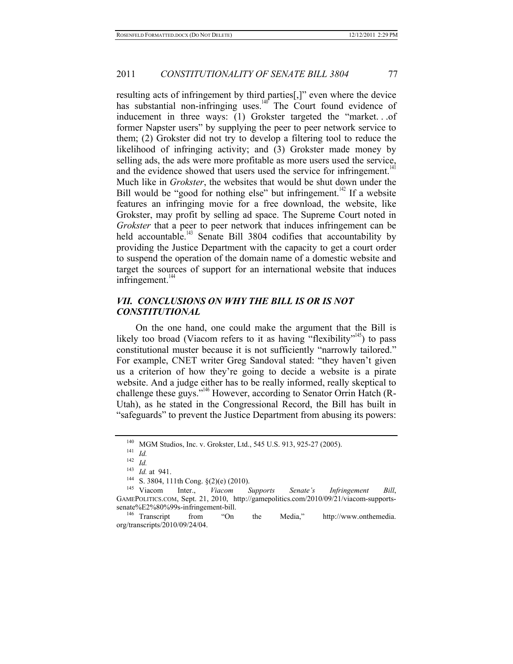resulting acts of infringement by third parties[,]" even where the device has substantial non-infringing uses.<sup>140</sup> The Court found evidence of inducement in three ways: (1) Grokster targeted the "market. . .of former Napster users" by supplying the peer to peer network service to them; (2) Grokster did not try to develop a filtering tool to reduce the likelihood of infringing activity; and (3) Grokster made money by selling ads, the ads were more profitable as more users used the service, and the evidence showed that users used the service for infringement.<sup>1</sup> Much like in *Grokster*, the websites that would be shut down under the Bill would be "good for nothing else" but infringement.<sup> $142$ </sup> If a website features an infringing movie for a free download, the website, like Grokster, may profit by selling ad space. The Supreme Court noted in *Grokster* that a peer to peer network that induces infringement can be held accountable.<sup>143</sup> Senate Bill 3804 codifies that accountability by providing the Justice Department with the capacity to get a court order to suspend the operation of the domain name of a domestic website and target the sources of support for an international website that induces infringement. $144$ 

## *VII. CONCLUSIONS ON WHY THE BILL IS OR IS NOT CONSTITUTIONAL*

On the one hand, one could make the argument that the Bill is likely too broad (Viacom refers to it as having "flexibility"<sup>145</sup>) to pass constitutional muster because it is not sufficiently "narrowly tailored." For example, CNET writer Greg Sandoval stated: "they haven't given us a criterion of how they're going to decide a website is a pirate website. And a judge either has to be really informed, really skeptical to challenge these guys."<sup>146</sup> However, according to Senator Orrin Hatch (R-Utah), as he stated in the Congressional Record, the Bill has built in "safeguards" to prevent the Justice Department from abusing its powers:

<sup>140</sup> MGM Studios, Inc. v. Grokster, Ltd., 545 U.S. 913, 925-27 (2005). 141 *Id.*

<sup>142</sup> *Id.*<sup>143</sup> *Id.* at 941. 144 S. 3804, 111th Cong. §(2)(e) (2010). 145 Viacom Inter., *Viacom Supports Senate's Infringement Bill*, GAMEPOLITICS.COM, Sept. 21, 2010, http://gamepolitics.com/2010/09/21/viacom-supportssenate%E2%80%99s-infringement-bill. 146 Transcript from "On the Media," http://www.onthemedia.

org/transcripts/2010/09/24/04.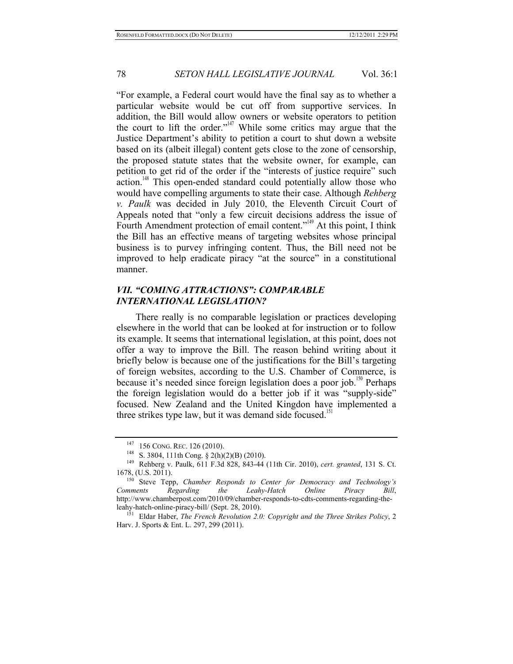"For example, a Federal court would have the final say as to whether a particular website would be cut off from supportive services. In addition, the Bill would allow owners or website operators to petition the court to lift the order."<sup>147</sup> While some critics may argue that the Justice Department's ability to petition a court to shut down a website based on its (albeit illegal) content gets close to the zone of censorship, the proposed statute states that the website owner, for example, can petition to get rid of the order if the "interests of justice require" such action.<sup>148</sup> This open-ended standard could potentially allow those who would have compelling arguments to state their case. Although *Rehberg v. Paulk* was decided in July 2010, the Eleventh Circuit Court of Appeals noted that "only a few circuit decisions address the issue of Fourth Amendment protection of email content."<sup>149</sup> At this point, I think the Bill has an effective means of targeting websites whose principal business is to purvey infringing content. Thus, the Bill need not be improved to help eradicate piracy "at the source" in a constitutional manner.

## *VII. "COMING ATTRACTIONS": COMPARABLE INTERNATIONAL LEGISLATION?*

There really is no comparable legislation or practices developing elsewhere in the world that can be looked at for instruction or to follow its example. It seems that international legislation, at this point, does not offer a way to improve the Bill. The reason behind writing about it briefly below is because one of the justifications for the Bill's targeting of foreign websites, according to the U.S. Chamber of Commerce, is because it's needed since foreign legislation does a poor job.<sup>150</sup> Perhaps the foreign legislation would do a better job if it was "supply-side" focused. New Zealand and the United Kingdon have implemented a three strikes type law, but it was demand side focused.<sup>151</sup>

<sup>147</sup> 156 CONG. REC. 126 (2010). 148 S. 3804, 111th Cong. § 2(h)(2)(B) (2010). 149 Rehberg v. Paulk, 611 F.3d 828, 843-44 (11th Cir. 2010), *cert. granted*, 131 S. Ct. 1678, (U.S. 2011). 150 Steve Tepp, *Chamber Responds to Center for Democracy and Technology's* 

*Comments Regarding the Leahy-Hatch Online Piracy Bill*, http://www.chamberpost.com/2010/09/chamber-responds-to-cdts-comments-regarding-theleahy-hatch-online-piracy-bill/ (Sept. 28, 2010). 151 Eldar Haber, *The French Revolution 2.0: Copyright and the Three Strikes Policy*, <sup>2</sup>

Harv. J. Sports & Ent. L. 297, 299 (2011).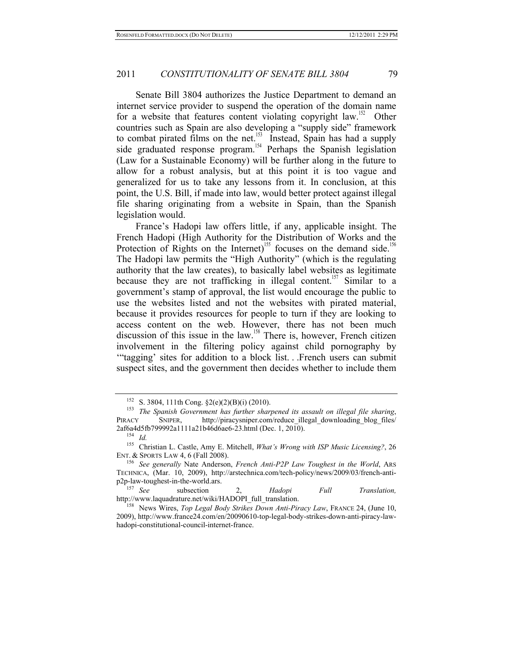Senate Bill 3804 authorizes the Justice Department to demand an internet service provider to suspend the operation of the domain name for a website that features content violating copyright law.<sup>152</sup> Other countries such as Spain are also developing a "supply side" framework to combat pirated films on the net.<sup>153</sup> Instead, Spain has had a supply side graduated response program.<sup>154</sup> Perhaps the Spanish legislation (Law for a Sustainable Economy) will be further along in the future to allow for a robust analysis, but at this point it is too vague and generalized for us to take any lessons from it. In conclusion, at this point, the U.S. Bill, if made into law, would better protect against illegal file sharing originating from a website in Spain, than the Spanish legislation would.

France's Hadopi law offers little, if any, applicable insight. The French Hadopi (High Authority for the Distribution of Works and the Protection of Rights on the Internet)<sup>155</sup> focuses on the demand side.<sup>15</sup> The Hadopi law permits the "High Authority" (which is the regulating authority that the law creates), to basically label websites as legitimate because they are not trafficking in illegal content.<sup>157</sup> Similar to a government's stamp of approval, the list would encourage the public to use the websites listed and not the websites with pirated material, because it provides resources for people to turn if they are looking to access content on the web. However, there has not been much discussion of this issue in the law.<sup>158</sup> There is, however, French citizen involvement in the filtering policy against child pornography by '"tagging' sites for addition to a block list. . .French users can submit suspect sites, and the government then decides whether to include them

p2p-law-toughest-in-the-world.ars.<br>
<sup>157</sup> *See* subsection 2, *Hadopi Full Translation,*<br>
http://www.laquadrature.net/wiki/HADOPI full translation.

<sup>152</sup> S. 3804, 111th Cong. §2(e)(2)(B)(i) (2010). 153 *The Spanish Government has further sharpened its assault on illegal file sharing*, PIRACY SNIPER, http://piracysniper.com/reduce\_illegal\_downloading\_blog\_files/ 2af6a4d5fb799992a1111a21b46d6ae6-23.html (Dec. 1, 2010). 154 *Id.*

<sup>155</sup> Christian L. Castle, Amy E. Mitchell, *What's Wrong with ISP Music Licensing?*, 26 ENT. & SPORTS LAW 4, 6 (Fall 2008). 156 *See generally* Nate Anderson, *French Anti-P2P Law Toughest in the World*, ARS

TECHNICA, (Mar. 10, 2009), http://arstechnica.com/tech-policy/news/2009/03/french-anti-

<sup>&</sup>lt;sup>158</sup> News Wires, *Top Legal Body Strikes Down Anti-Piracy Law*, FRANCE 24, (June 10, 2009), http://www.france24.com/en/20090610-top-legal-body-strikes-down-anti-piracy-lawhadopi-constitutional-council-internet-france.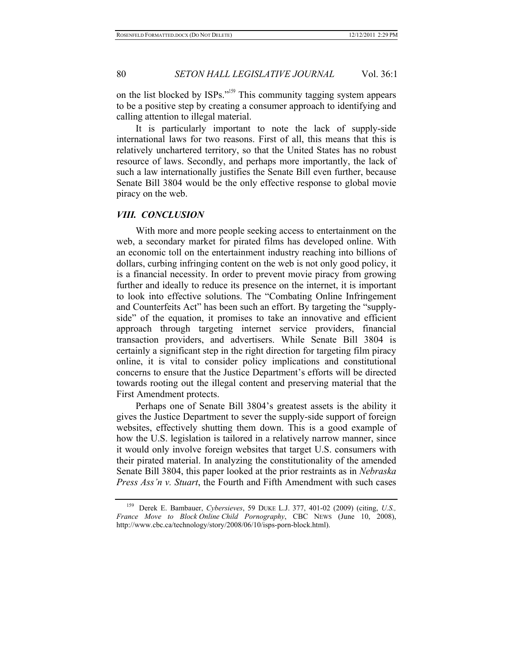on the list blocked by ISPs."159 This community tagging system appears to be a positive step by creating a consumer approach to identifying and calling attention to illegal material.

It is particularly important to note the lack of supply-side international laws for two reasons. First of all, this means that this is relatively unchartered territory, so that the United States has no robust resource of laws. Secondly, and perhaps more importantly, the lack of such a law internationally justifies the Senate Bill even further, because Senate Bill 3804 would be the only effective response to global movie piracy on the web.

#### *VIII. CONCLUSION*

With more and more people seeking access to entertainment on the web, a secondary market for pirated films has developed online. With an economic toll on the entertainment industry reaching into billions of dollars, curbing infringing content on the web is not only good policy, it is a financial necessity. In order to prevent movie piracy from growing further and ideally to reduce its presence on the internet, it is important to look into effective solutions. The "Combating Online Infringement and Counterfeits Act" has been such an effort. By targeting the "supplyside" of the equation, it promises to take an innovative and efficient approach through targeting internet service providers, financial transaction providers, and advertisers. While Senate Bill 3804 is certainly a significant step in the right direction for targeting film piracy online, it is vital to consider policy implications and constitutional concerns to ensure that the Justice Department's efforts will be directed towards rooting out the illegal content and preserving material that the First Amendment protects.

Perhaps one of Senate Bill 3804's greatest assets is the ability it gives the Justice Department to sever the supply-side support of foreign websites, effectively shutting them down. This is a good example of how the U.S. legislation is tailored in a relatively narrow manner, since it would only involve foreign websites that target U.S. consumers with their pirated material. In analyzing the constitutionality of the amended Senate Bill 3804, this paper looked at the prior restraints as in *Nebraska Press Ass'n v. Stuart*, the Fourth and Fifth Amendment with such cases

<sup>159</sup> Derek E. Bambauer, *Cybersieves*, 59 DUKE L.J. 377, 401-02 (2009) (citing, *U.S., France Move to Block Online Child Pornography*, CBC NEWS (June 10, 2008), http://www.cbc.ca/technology/story/2008/06/10/isps-porn-block.html).